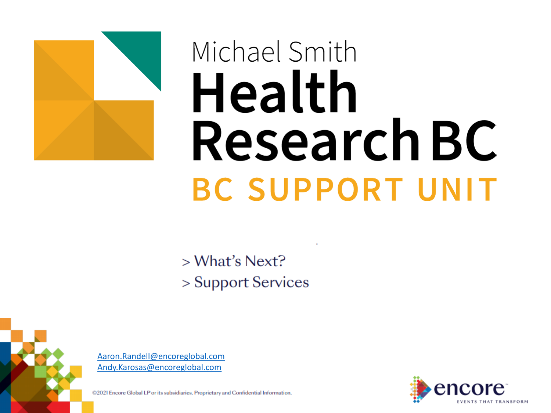

# Michael Smith Health **Research BC BC SUPPORT UNIT**

 $>$  What's Next? > Support Services



[Aaron.Randell@encoreglobal.com](mailto:Aaron.Randell@encoreglobal.com) [Andy.Karosas@encoreglobal.com](mailto:Andy.Karosas@encoreglobal.com)

@2021 Encore Global LP or its subsidiaries. Proprietary and Confidential Information.